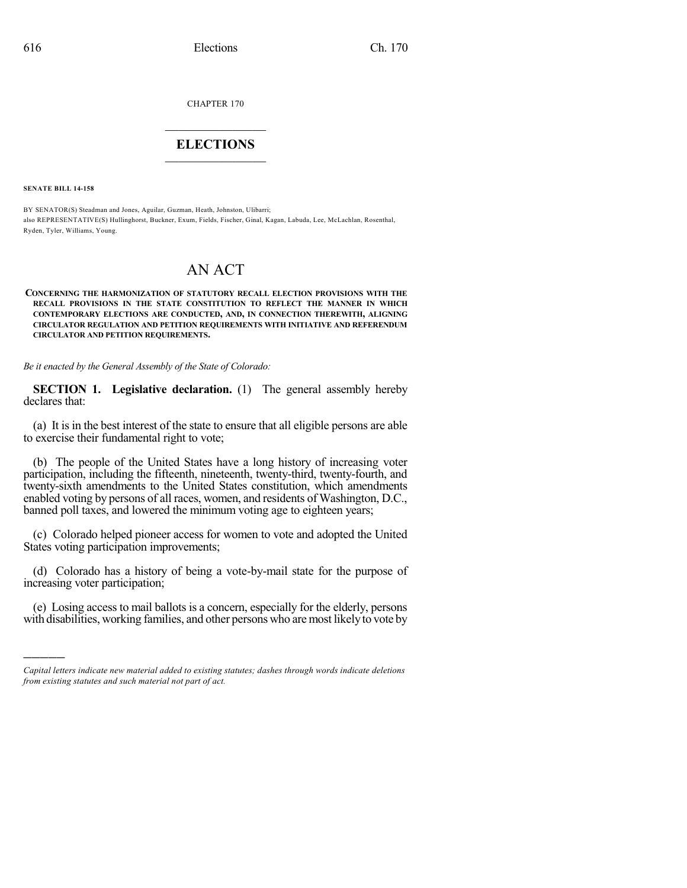CHAPTER 170

## $\mathcal{L}_\text{max}$  . The set of the set of the set of the set of the set of the set of the set of the set of the set of the set of the set of the set of the set of the set of the set of the set of the set of the set of the set **ELECTIONS**  $\_$

**SENATE BILL 14-158**

)))))

BY SENATOR(S) Steadman and Jones, Aguilar, Guzman, Heath, Johnston, Ulibarri; also REPRESENTATIVE(S) Hullinghorst, Buckner, Exum, Fields, Fischer, Ginal, Kagan, Labuda, Lee, McLachlan, Rosenthal, Ryden, Tyler, Williams, Young.

# AN ACT

#### **CONCERNING THE HARMONIZATION OF STATUTORY RECALL ELECTION PROVISIONS WITH THE RECALL PROVISIONS IN THE STATE CONSTITUTION TO REFLECT THE MANNER IN WHICH CONTEMPORARY ELECTIONS ARE CONDUCTED, AND, IN CONNECTION THEREWITH, ALIGNING CIRCULATOR REGULATION AND PETITION REQUIREMENTS WITH INITIATIVE AND REFERENDUM CIRCULATOR AND PETITION REQUIREMENTS.**

*Be it enacted by the General Assembly of the State of Colorado:*

**SECTION 1. Legislative declaration.** (1) The general assembly hereby declares that:

(a) It is in the best interest of the state to ensure that all eligible persons are able to exercise their fundamental right to vote;

(b) The people of the United States have a long history of increasing voter participation, including the fifteenth, nineteenth, twenty-third, twenty-fourth, and twenty-sixth amendments to the United States constitution, which amendments enabled voting by persons of all races, women, and residents of Washington, D.C., banned poll taxes, and lowered the minimum voting age to eighteen years;

(c) Colorado helped pioneer access for women to vote and adopted the United States voting participation improvements;

(d) Colorado has a history of being a vote-by-mail state for the purpose of increasing voter participation;

(e) Losing access to mail ballots is a concern, especially for the elderly, persons with disabilities, working families, and other persons who are most likelyto vote by

*Capital letters indicate new material added to existing statutes; dashes through words indicate deletions from existing statutes and such material not part of act.*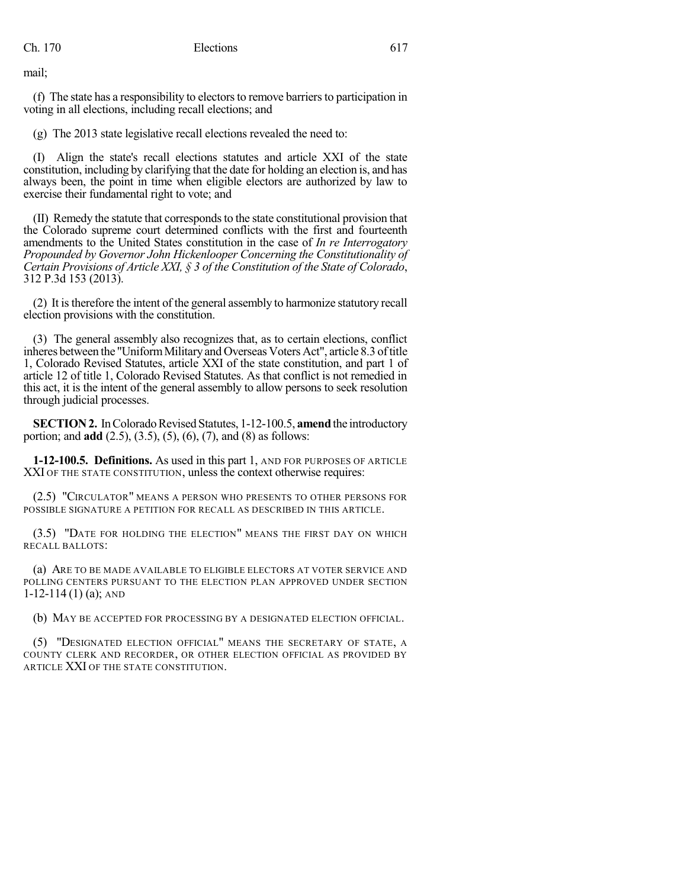mail;

(f) The state has a responsibility to electors to remove barriers to participation in voting in all elections, including recall elections; and

(g) The 2013 state legislative recall elections revealed the need to:

(I) Align the state's recall elections statutes and article XXI of the state constitution, including by clarifying that the date for holding an election is, and has always been, the point in time when eligible electors are authorized by law to exercise their fundamental right to vote; and

(II) Remedy the statute that correspondsto the state constitutional provision that the Colorado supreme court determined conflicts with the first and fourteenth amendments to the United States constitution in the case of *In re Interrogatory Propounded by Governor John Hickenlooper Concerning the Constitutionality of Certain Provisions of Article XXI, § 3 of the Constitution of the State of Colorado*, 312 P.3d 153 (2013).

(2) It istherefore the intent of the general assembly to harmonize statutory recall election provisions with the constitution.

(3) The general assembly also recognizes that, as to certain elections, conflict inheres between the "Uniform Military and Overseas Voters Act", article 8.3 of title 1, Colorado Revised Statutes, article XXI of the state constitution, and part 1 of article 12 of title 1, Colorado Revised Statutes. As that conflict is not remedied in this act, it is the intent of the general assembly to allow persons to seek resolution through judicial processes.

**SECTION 2.** In Colorado Revised Statutes, 1-12-100.5, **amend** the introductory portion; and **add** (2.5), (3.5), (5), (6), (7), and (8) as follows:

**1-12-100.5. Definitions.** As used in this part 1, AND FOR PURPOSES OF ARTICLE XXI OF THE STATE CONSTITUTION, unless the context otherwise requires:

(2.5) "CIRCULATOR" MEANS A PERSON WHO PRESENTS TO OTHER PERSONS FOR POSSIBLE SIGNATURE A PETITION FOR RECALL AS DESCRIBED IN THIS ARTICLE.

(3.5) "DATE FOR HOLDING THE ELECTION" MEANS THE FIRST DAY ON WHICH RECALL BALLOTS:

(a) ARE TO BE MADE AVAILABLE TO ELIGIBLE ELECTORS AT VOTER SERVICE AND POLLING CENTERS PURSUANT TO THE ELECTION PLAN APPROVED UNDER SECTION  $1-12-114(1)$  (a); AND

(b) MAY BE ACCEPTED FOR PROCESSING BY A DESIGNATED ELECTION OFFICIAL.

(5) "DESIGNATED ELECTION OFFICIAL" MEANS THE SECRETARY OF STATE, A COUNTY CLERK AND RECORDER, OR OTHER ELECTION OFFICIAL AS PROVIDED BY ARTICLE XXI OF THE STATE CONSTITUTION.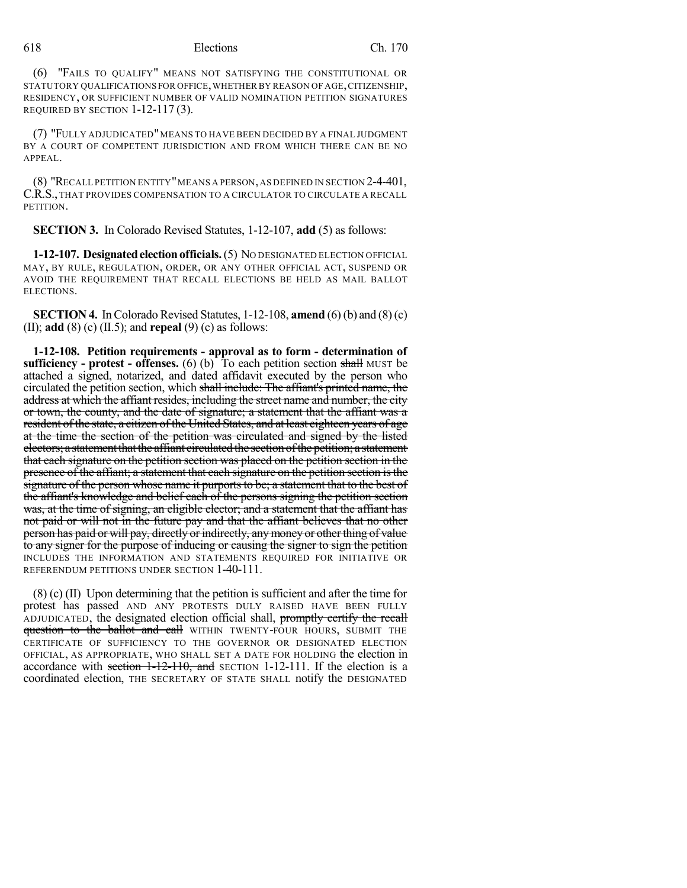(6) "FAILS TO QUALIFY" MEANS NOT SATISFYING THE CONSTITUTIONAL OR STATUTORY QUALIFICATIONS FOR OFFICE,WHETHER BY REASON OF AGE,CITIZENSHIP, RESIDENCY, OR SUFFICIENT NUMBER OF VALID NOMINATION PETITION SIGNATURES REQUIRED BY SECTION 1-12-117 (3).

(7) "FULLY ADJUDICATED"MEANS TO HAVE BEEN DECIDED BY A FINAL JUDGMENT BY A COURT OF COMPETENT JURISDICTION AND FROM WHICH THERE CAN BE NO APPEAL.

 $(8)$  "Recall petition entity" means a person, as defined in section 2-4-401, C.R.S., THAT PROVIDES COMPENSATION TO A CIRCULATOR TO CIRCULATE A RECALL PETITION.

**SECTION 3.** In Colorado Revised Statutes, 1-12-107, **add** (5) as follows:

**1-12-107. Designatedelectionofficials.**(5) NO DESIGNATED ELECTION OFFICIAL MAY, BY RULE, REGULATION, ORDER, OR ANY OTHER OFFICIAL ACT, SUSPEND OR AVOID THE REQUIREMENT THAT RECALL ELECTIONS BE HELD AS MAIL BALLOT ELECTIONS.

**SECTION 4.** In Colorado Revised Statutes,  $1-12-108$ , **amend** (6) (b) and (8) (c) (II); **add** (8) (c) (II.5); and **repeal** (9) (c) as follows:

**1-12-108. Petition requirements - approval as to form - determination of sufficiency - protest - offenses.** (6) (b) To each petition section shall MUST be attached a signed, notarized, and dated affidavit executed by the person who circulated the petition section, which shall include: The affiant's printed name, the address at which the affiant resides, including the street name and number, the city or town, the county, and the date of signature; a statement that the affiant was a resident of the state, a citizen of the United States, and at least eighteen years of age at the time the section of the petition was circulated and signed by the listed electors; a statement that the affiant circulated the section of the petition; a statement that each signature on the petition section was placed on the petition section in the presence of the affiant; a statement that each signature on the petition section isthe signature of the person whose name it purports to be; a statement that to the best of the affiant's knowledge and belief each of the persons signing the petition section was, at the time of signing, an eligible elector; and a statement that the affiant has not paid or will not in the future pay and that the affiant believes that no other person has paid or will pay, directly or indirectly, anymoney or otherthing of value to any signer for the purpose of inducing or causing the signer to sign the petition INCLUDES THE INFORMATION AND STATEMENTS REQUIRED FOR INITIATIVE OR REFERENDUM PETITIONS UNDER SECTION 1-40-111.

(8) (c) (II) Upon determining that the petition is sufficient and after the time for protest has passed AND ANY PROTESTS DULY RAISED HAVE BEEN FULLY ADJUDICATED, the designated election official shall, promptly certify the recall question to the ballot and call WITHIN TWENTY-FOUR HOURS, SUBMIT THE CERTIFICATE OF SUFFICIENCY TO THE GOVERNOR OR DESIGNATED ELECTION OFFICIAL, AS APPROPRIATE, WHO SHALL SET A DATE FOR HOLDING the election in accordance with section  $1-12-110$ , and SECTION 1-12-111. If the election is a coordinated election, THE SECRETARY OF STATE SHALL notify the DESIGNATED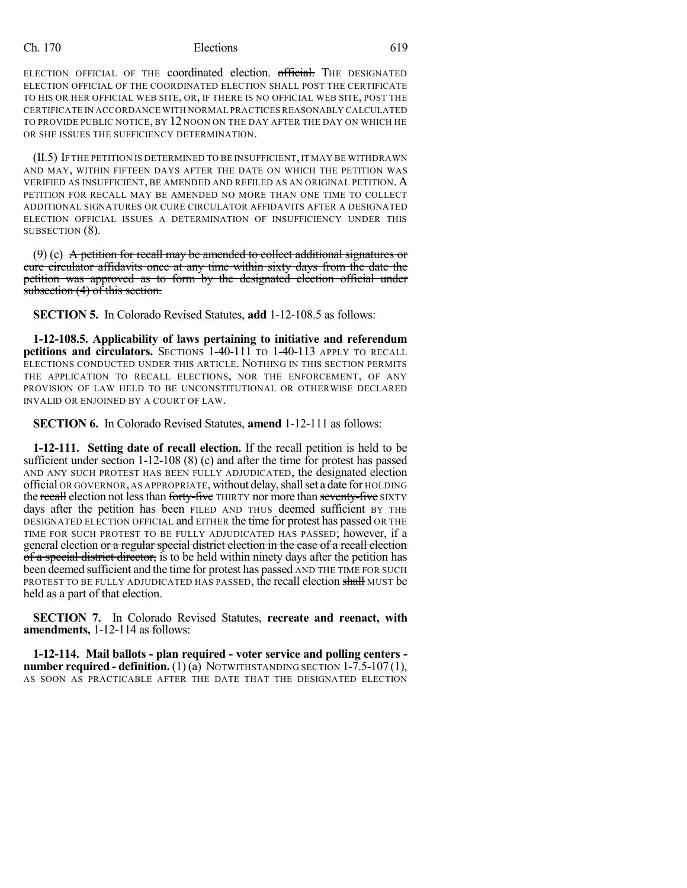### Ch. 170 Elections 619

ELECTION OFFICIAL OF THE coordinated election. official. The DESIGNATED ELECTION OFFICIAL OF THE COORDINATED ELECTION SHALL POST THE CERTIFICATE TO HIS OR HER OFFICIAL WEB SITE, OR, IF THERE IS NO OFFICIAL WEB SITE, POST THE CERTIFICATE IN ACCORDANCE WITH NORMAL PRACTICES REASONABLY CALCULATED TO PROVIDE PUBLIC NOTICE, BY 12 NOON ON THE DAY AFTER THE DAY ON WHICH HE OR SHE ISSUES THE SUFFICIENCY DETERMINATION.

(II.5) IF THE PETITION IS DETERMINED TO BE INSUFFICIENT,IT MAY BE WITHDRAWN AND MAY, WITHIN FIFTEEN DAYS AFTER THE DATE ON WHICH THE PETITION WAS VERIFIED AS INSUFFICIENT, BE AMENDED AND REFILED AS AN ORIGINAL PETITION. A PETITION FOR RECALL MAY BE AMENDED NO MORE THAN ONE TIME TO COLLECT ADDITIONAL SIGNATURES OR CURE CIRCULATOR AFFIDAVITS AFTER A DESIGNATED ELECTION OFFICIAL ISSUES A DETERMINATION OF INSUFFICIENCY UNDER THIS SUBSECTION (8).

(9) (c) A petition for recall may be amended to collect additional signatures or cure circulator affidavits once at any time within sixty days from the date the petition was approved as to form by the designated election official under subsection (4) of this section.

**SECTION 5.** In Colorado Revised Statutes, **add** 1-12-108.5 as follows:

**1-12-108.5. Applicability of laws pertaining to initiative and referendum petitions and circulators.** SECTIONS 1-40-111 TO 1-40-113 APPLY TO RECALL ELECTIONS CONDUCTED UNDER THIS ARTICLE. NOTHING IN THIS SECTION PERMITS THE APPLICATION TO RECALL ELECTIONS, NOR THE ENFORCEMENT, OF ANY PROVISION OF LAW HELD TO BE UNCONSTITUTIONAL OR OTHERWISE DECLARED INVALID OR ENJOINED BY A COURT OF LAW.

**SECTION 6.** In Colorado Revised Statutes, **amend** 1-12-111 as follows:

**1-12-111. Setting date of recall election.** If the recall petition is held to be sufficient under section 1-12-108 (8) (c) and after the time for protest has passed AND ANY SUCH PROTEST HAS BEEN FULLY ADJUDICATED, the designated election official OR GOVERNOR, AS APPROPRIATE, without delay,shallset a date for HOLDING the recall election not less than forty-five THIRTY nor more than seventy-five SIXTY days after the petition has been FILED AND THUS deemed sufficient BY THE DESIGNATED ELECTION OFFICIAL and EITHER the time for protest has passed OR THE TIME FOR SUCH PROTEST TO BE FULLY ADJUDICATED HAS PASSED; however, if a general election or a regular special district election in the case of a recall election of a special district director, is to be held within ninety days after the petition has been deemed sufficient and the time for protest has passed AND THE TIME FOR SUCH PROTEST TO BE FULLY ADJUDICATED HAS PASSED, the recall election shall MUST be held as a part of that election.

**SECTION 7.** In Colorado Revised Statutes, **recreate and reenact, with amendments,** 1-12-114 as follows:

**1-12-114. Mail ballots - plan required - voter service and polling centers number required - definition.** (1) (a) NOTWITHSTANDING SECTION 1-7.5-107 (1), AS SOON AS PRACTICABLE AFTER THE DATE THAT THE DESIGNATED ELECTION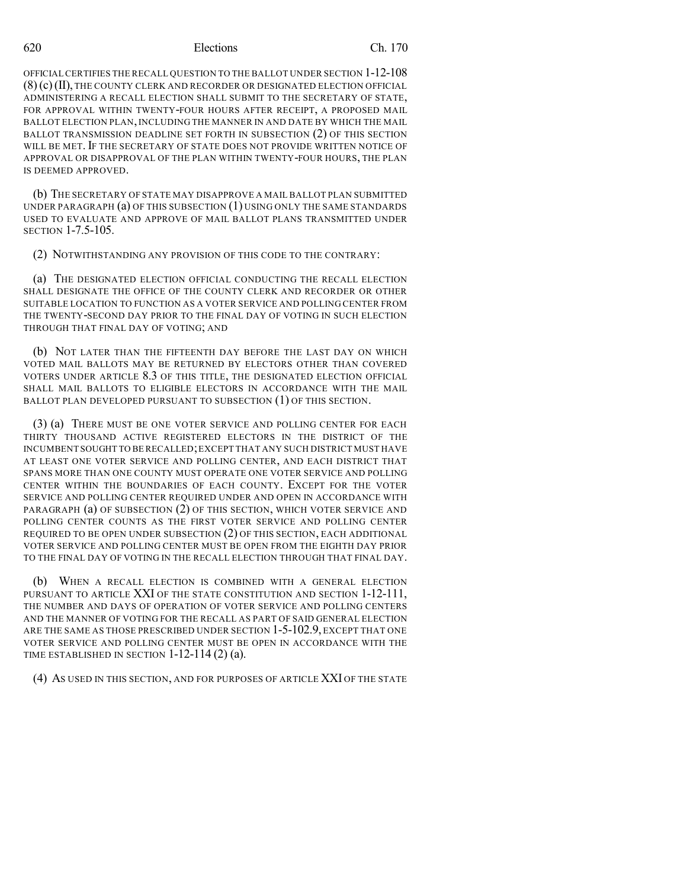#### 620 Elections Ch. 170

OFFICIAL CERTIFIES THE RECALL QUESTION TO THE BALLOT UNDER SECTION 1-12-108 (8)(c)(II), THE COUNTY CLERK AND RECORDER OR DESIGNATED ELECTION OFFICIAL ADMINISTERING A RECALL ELECTION SHALL SUBMIT TO THE SECRETARY OF STATE, FOR APPROVAL WITHIN TWENTY-FOUR HOURS AFTER RECEIPT, A PROPOSED MAIL BALLOT ELECTION PLAN, INCLUDING THE MANNER IN AND DATE BY WHICH THE MAIL BALLOT TRANSMISSION DEADLINE SET FORTH IN SUBSECTION (2) OF THIS SECTION WILL BE MET. IF THE SECRETARY OF STATE DOES NOT PROVIDE WRITTEN NOTICE OF APPROVAL OR DISAPPROVAL OF THE PLAN WITHIN TWENTY-FOUR HOURS, THE PLAN IS DEEMED APPROVED.

(b) THE SECRETARY OF STATE MAY DISAPPROVE A MAIL BALLOT PLAN SUBMITTED UNDER PARAGRAPH  $(a)$  OF THIS SUBSECTION  $(1)$  USING ONLY THE SAME STANDARDS USED TO EVALUATE AND APPROVE OF MAIL BALLOT PLANS TRANSMITTED UNDER SECTION 1-7.5-105.

(2) NOTWITHSTANDING ANY PROVISION OF THIS CODE TO THE CONTRARY:

(a) THE DESIGNATED ELECTION OFFICIAL CONDUCTING THE RECALL ELECTION SHALL DESIGNATE THE OFFICE OF THE COUNTY CLERK AND RECORDER OR OTHER SUITABLE LOCATION TO FUNCTION AS A VOTER SERVICE AND POLLING CENTER FROM THE TWENTY-SECOND DAY PRIOR TO THE FINAL DAY OF VOTING IN SUCH ELECTION THROUGH THAT FINAL DAY OF VOTING; AND

(b) NOT LATER THAN THE FIFTEENTH DAY BEFORE THE LAST DAY ON WHICH VOTED MAIL BALLOTS MAY BE RETURNED BY ELECTORS OTHER THAN COVERED VOTERS UNDER ARTICLE 8.3 OF THIS TITLE, THE DESIGNATED ELECTION OFFICIAL SHALL MAIL BALLOTS TO ELIGIBLE ELECTORS IN ACCORDANCE WITH THE MAIL BALLOT PLAN DEVELOPED PURSUANT TO SUBSECTION (1) OF THIS SECTION.

(3) (a) THERE MUST BE ONE VOTER SERVICE AND POLLING CENTER FOR EACH THIRTY THOUSAND ACTIVE REGISTERED ELECTORS IN THE DISTRICT OF THE INCUMBENT SOUGHT TO BE RECALLED;EXCEPT THAT ANY SUCH DISTRICT MUST HAVE AT LEAST ONE VOTER SERVICE AND POLLING CENTER, AND EACH DISTRICT THAT SPANS MORE THAN ONE COUNTY MUST OPERATE ONE VOTER SERVICE AND POLLING CENTER WITHIN THE BOUNDARIES OF EACH COUNTY. EXCEPT FOR THE VOTER SERVICE AND POLLING CENTER REQUIRED UNDER AND OPEN IN ACCORDANCE WITH PARAGRAPH (a) OF SUBSECTION (2) OF THIS SECTION, WHICH VOTER SERVICE AND POLLING CENTER COUNTS AS THE FIRST VOTER SERVICE AND POLLING CENTER REQUIRED TO BE OPEN UNDER SUBSECTION (2) OF THIS SECTION, EACH ADDITIONAL VOTER SERVICE AND POLLING CENTER MUST BE OPEN FROM THE EIGHTH DAY PRIOR TO THE FINAL DAY OF VOTING IN THE RECALL ELECTION THROUGH THAT FINAL DAY.

(b) WHEN A RECALL ELECTION IS COMBINED WITH A GENERAL ELECTION PURSUANT TO ARTICLE XXI OF THE STATE CONSTITUTION AND SECTION 1-12-111, THE NUMBER AND DAYS OF OPERATION OF VOTER SERVICE AND POLLING CENTERS AND THE MANNER OF VOTING FOR THE RECALL AS PART OF SAID GENERAL ELECTION ARE THE SAME AS THOSE PRESCRIBED UNDER SECTION 1-5-102.9, EXCEPT THAT ONE VOTER SERVICE AND POLLING CENTER MUST BE OPEN IN ACCORDANCE WITH THE TIME ESTABLISHED IN SECTION  $1-12-114(2)$  (a).

(4) AS USED IN THIS SECTION, AND FOR PURPOSES OF ARTICLE XXI OF THE STATE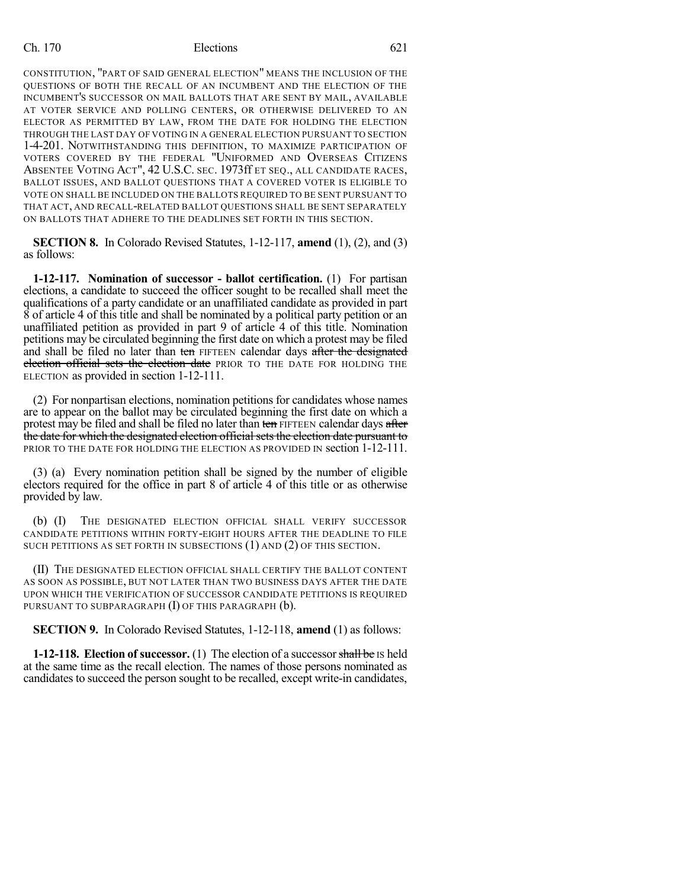### Ch. 170 Elections 621

CONSTITUTION, "PART OF SAID GENERAL ELECTION" MEANS THE INCLUSION OF THE QUESTIONS OF BOTH THE RECALL OF AN INCUMBENT AND THE ELECTION OF THE INCUMBENT'S SUCCESSOR ON MAIL BALLOTS THAT ARE SENT BY MAIL, AVAILABLE AT VOTER SERVICE AND POLLING CENTERS, OR OTHERWISE DELIVERED TO AN ELECTOR AS PERMITTED BY LAW, FROM THE DATE FOR HOLDING THE ELECTION THROUGH THE LAST DAY OF VOTING IN A GENERAL ELECTION PURSUANT TO SECTION 1-4-201. NOTWITHSTANDING THIS DEFINITION, TO MAXIMIZE PARTICIPATION OF VOTERS COVERED BY THE FEDERAL "UNIFORMED AND OVERSEAS CITIZENS ABSENTEE VOTING ACT", 42 U.S.C. SEC. 1973ff ET SEQ., ALL CANDIDATE RACES, BALLOT ISSUES, AND BALLOT QUESTIONS THAT A COVERED VOTER IS ELIGIBLE TO VOTE ON SHALL BE INCLUDED ON THE BALLOTS REQUIRED TO BE SENT PURSUANT TO THAT ACT, AND RECALL-RELATED BALLOT QUESTIONS SHALL BE SENT SEPARATELY ON BALLOTS THAT ADHERE TO THE DEADLINES SET FORTH IN THIS SECTION.

**SECTION 8.** In Colorado Revised Statutes, 1-12-117, **amend** (1), (2), and (3) as follows:

**1-12-117. Nomination of successor - ballot certification.** (1) For partisan elections, a candidate to succeed the officer sought to be recalled shall meet the qualifications of a party candidate or an unaffiliated candidate as provided in part 8 of article 4 of this title and shall be nominated by a political party petition or an unaffiliated petition as provided in part 9 of article 4 of this title. Nomination petitions may be circulated beginning the first date on which a protest may be filed and shall be filed no later than ten FIFTEEN calendar days after the designated election official sets the election date PRIOR TO THE DATE FOR HOLDING THE ELECTION as provided in section 1-12-111.

(2) For nonpartisan elections, nomination petitions for candidates whose names are to appear on the ballot may be circulated beginning the first date on which a protest may be filed and shall be filed no later than ten FIFTEEN calendar days after the date for which the designated election official sets the election date pursuant to PRIOR TO THE DATE FOR HOLDING THE ELECTION AS PROVIDED IN section 1-12-111.

(3) (a) Every nomination petition shall be signed by the number of eligible electors required for the office in part 8 of article 4 of this title or as otherwise provided by law.

(b) (I) THE DESIGNATED ELECTION OFFICIAL SHALL VERIFY SUCCESSOR CANDIDATE PETITIONS WITHIN FORTY-EIGHT HOURS AFTER THE DEADLINE TO FILE SUCH PETITIONS AS SET FORTH IN SUBSECTIONS (1) AND (2) OF THIS SECTION.

(II) THE DESIGNATED ELECTION OFFICIAL SHALL CERTIFY THE BALLOT CONTENT AS SOON AS POSSIBLE, BUT NOT LATER THAN TWO BUSINESS DAYS AFTER THE DATE UPON WHICH THE VERIFICATION OF SUCCESSOR CANDIDATE PETITIONS IS REQUIRED PURSUANT TO SUBPARAGRAPH  $(I)$  OF THIS PARAGRAPH  $(b)$ .

**SECTION 9.** In Colorado Revised Statutes, 1-12-118, **amend** (1) as follows:

**1-12-118. Election of successor.** (1) The election of a successor shall be IS held at the same time as the recall election. The names of those persons nominated as candidates to succeed the person sought to be recalled, except write-in candidates,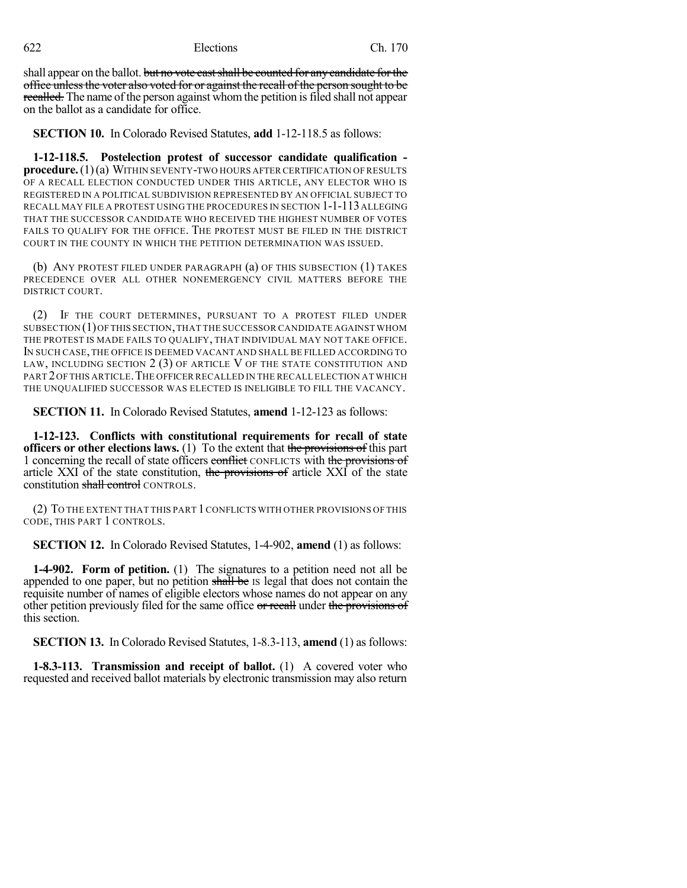622 Elections Ch. 170

shall appear on the ballot. but no vote cast shall be counted for any candidate for the office unlessthe voter also voted for or against the recall of the person sought to be recalled. The name of the person against whom the petition is filed shall not appear on the ballot as a candidate for office.

**SECTION 10.** In Colorado Revised Statutes, **add** 1-12-118.5 as follows:

**1-12-118.5. Postelection protest of successor candidate qualification procedure.**(1)(a) WITHIN SEVENTY-TWO HOURS AFTER CERTIFICATION OF RESULTS OF A RECALL ELECTION CONDUCTED UNDER THIS ARTICLE, ANY ELECTOR WHO IS REGISTERED IN A POLITICAL SUBDIVISION REPRESENTED BY AN OFFICIAL SUBJECT TO RECALL MAY FILE A PROTEST USING THE PROCEDURES IN SECTION 1-1-113ALLEGING THAT THE SUCCESSOR CANDIDATE WHO RECEIVED THE HIGHEST NUMBER OF VOTES FAILS TO QUALIFY FOR THE OFFICE. THE PROTEST MUST BE FILED IN THE DISTRICT COURT IN THE COUNTY IN WHICH THE PETITION DETERMINATION WAS ISSUED.

(b) ANY PROTEST FILED UNDER PARAGRAPH (a) OF THIS SUBSECTION (1) TAKES PRECEDENCE OVER ALL OTHER NONEMERGENCY CIVIL MATTERS BEFORE THE DISTRICT COURT.

(2) IF THE COURT DETERMINES, PURSUANT TO A PROTEST FILED UNDER SUBSECTION (1)OF THIS SECTION,THAT THE SUCCESSOR CANDIDATE AGAINST WHOM THE PROTEST IS MADE FAILS TO QUALIFY, THAT INDIVIDUAL MAY NOT TAKE OFFICE. IN SUCH CASE,THE OFFICE IS DEEMED VACANT AND SHALL BE FILLED ACCORDING TO LAW, INCLUDING SECTION 2 (3) OF ARTICLE V OF THE STATE CONSTITUTION AND PART 2OF THIS ARTICLE.THE OFFICER RECALLED IN THE RECALL ELECTION AT WHICH THE UNQUALIFIED SUCCESSOR WAS ELECTED IS INELIGIBLE TO FILL THE VACANCY.

**SECTION 11.** In Colorado Revised Statutes, **amend** 1-12-123 as follows:

**1-12-123. Conflicts with constitutional requirements for recall of state officers or other elections laws.** (1) To the extent that the provisions of this part 1 concerning the recall of state officers conflict CONFLICTS with the provisions of article XXI of the state constitution, the provisions of article XXI of the state constitution shall control CONTROLS.

(2) TO THE EXTENT THAT THIS PART 1CONFLICTS WITH OTHER PROVISIONS OF THIS CODE, THIS PART 1 CONTROLS.

**SECTION 12.** In Colorado Revised Statutes, 1-4-902, **amend** (1) as follows:

**1-4-902. Form of petition.** (1) The signatures to a petition need not all be appended to one paper, but no petition shall be IS legal that does not contain the requisite number of names of eligible electors whose names do not appear on any other petition previously filed for the same office or recall under the provisions of this section.

**SECTION 13.** In Colorado Revised Statutes, 1-8.3-113, **amend** (1) as follows:

**1-8.3-113. Transmission and receipt of ballot.** (1) A covered voter who requested and received ballot materials by electronic transmission may also return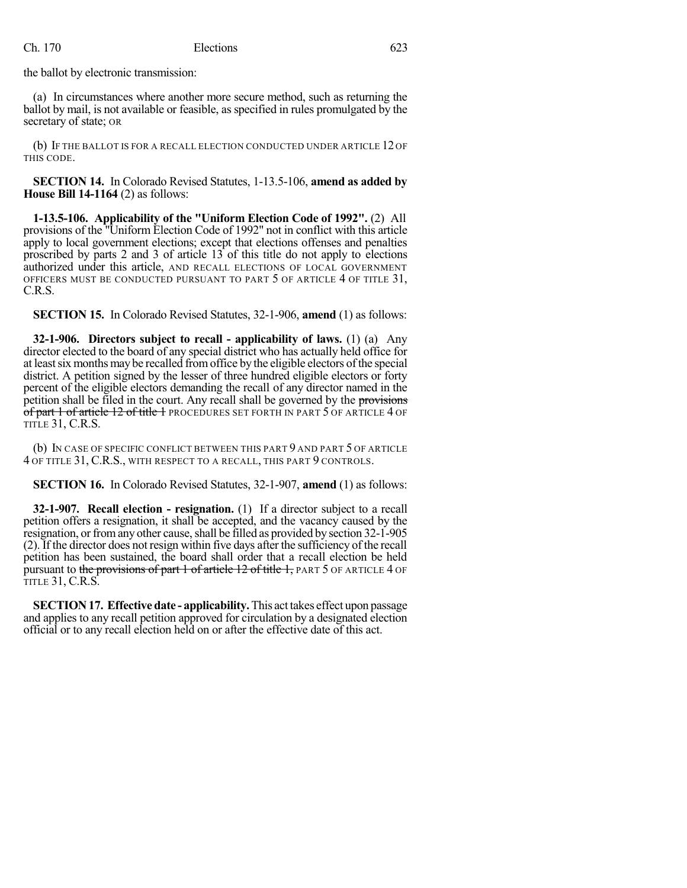the ballot by electronic transmission:

(a) In circumstances where another more secure method, such as returning the ballot by mail, is not available or feasible, as specified in rules promulgated by the secretary of state; OR

(b) IF THE BALLOT IS FOR A RECALL ELECTION CONDUCTED UNDER ARTICLE 12 OF THIS CODE.

**SECTION 14.** In Colorado Revised Statutes, 1-13.5-106, **amend as added by House Bill 14-1164** (2) as follows:

**1-13.5-106. Applicability of the "Uniform Election Code of 1992".** (2) All provisions of the "Uniform Election Code of 1992" not in conflict with this article apply to local government elections; except that elections offenses and penalties proscribed by parts 2 and 3 of article 13 of this title do not apply to elections authorized under this article, AND RECALL ELECTIONS OF LOCAL GOVERNMENT OFFICERS MUST BE CONDUCTED PURSUANT TO PART 5 OF ARTICLE 4 OF TITLE 31, C.R.S.

**SECTION 15.** In Colorado Revised Statutes, 32-1-906, **amend** (1) as follows:

**32-1-906. Directors subject to recall - applicability of laws.** (1) (a) Any director elected to the board of any special district who has actually held office for at least six months may be recalled from office by the eligible electors of the special district. A petition signed by the lesser of three hundred eligible electors or forty percent of the eligible electors demanding the recall of any director named in the petition shall be filed in the court. Any recall shall be governed by the provisions of part 1 of article 12 of title 1 PROCEDURES SET FORTH IN PART 5 OF ARTICLE 4 OF TITLE 31, C.R.S.

(b) IN CASE OF SPECIFIC CONFLICT BETWEEN THIS PART 9 AND PART 5 OF ARTICLE 4 OF TITLE 31, C.R.S., WITH RESPECT TO A RECALL, THIS PART 9 CONTROLS.

**SECTION 16.** In Colorado Revised Statutes, 32-1-907, **amend** (1) as follows:

**32-1-907. Recall election - resignation.** (1) If a director subject to a recall petition offers a resignation, it shall be accepted, and the vacancy caused by the resignation, or from any other cause, shall be filled as provided by section 32-1-905 (2). If the director does not resign within five days after the sufficiency of the recall petition has been sustained, the board shall order that a recall election be held pursuant to the provisions of part 1 of article 12 of title 1, PART 5 OF ARTICLE 4 OF TITLE 31, C.R.S.

**SECTION17. Effective date - applicability.** This act takes effect upon passage and applies to any recall petition approved for circulation by a designated election official or to any recall election held on or after the effective date of this act.